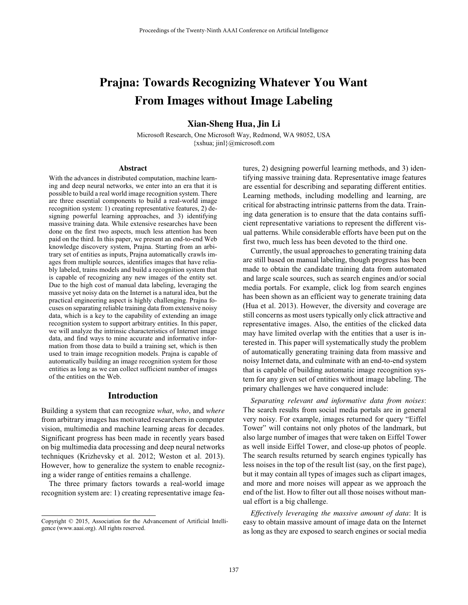# **Prajna: Towards Recognizing Whatever You Want From Images without Image Labeling**

**Xian-Sheng Hua, Jin Li**

Microsoft Research, One Microsoft Way, Redmond, WA 98052, USA {xshua; jinl}@microsoft.com

#### **Abstract**

With the advances in distributed computation, machine learning and deep neural networks, we enter into an era that it is possible to build a real world image recognition system. There are three essential components to build a real-world image recognition system: 1) creating representative features, 2) designing powerful learning approaches, and 3) identifying massive training data. While extensive researches have been done on the first two aspects, much less attention has been paid on the third. In this paper, we present an end-to-end Web knowledge discovery system, Prajna. Starting from an arbitrary set of entities as inputs, Prajna automatically crawls images from multiple sources, identifies images that have reliably labeled, trains models and build a recognition system that is capable of recognizing any new images of the entity set. Due to the high cost of manual data labeling, leveraging the massive yet noisy data on the Internet is a natural idea, but the practical engineering aspect is highly challenging. Prajna focuses on separating reliable training data from extensive noisy data, which is a key to the capability of extending an image recognition system to support arbitrary entities. In this paper, we will analyze the intrinsic characteristics of Internet image data, and find ways to mine accurate and informative information from those data to build a training set, which is then used to train image recognition models. Prajna is capable of automatically building an image recognition system for those entities as long as we can collect sufficient number of images of the entities on the Web.

## **Introduction**

Building a system that can recognize *what*, *who*, and *where* from arbitrary images has motivated researchers in computer vision, multimedia and machine learning areas for decades. Significant progress has been made in recently years based on big multimedia data processing and deep neural networks techniques (Krizhevsky et al. 2012; Weston et al. 2013). However, how to generalize the system to enable recognizing a wider range of entities remains a challenge.

The three primary factors towards a real-world image recognition system are: 1) creating representative image features, 2) designing powerful learning methods, and 3) identifying massive training data. Representative image features are essential for describing and separating different entities. Learning methods, including modelling and learning, are critical for abstracting intrinsic patterns from the data. Training data generation is to ensure that the data contains sufficient representative variations to represent the different visual patterns. While considerable efforts have been put on the first two, much less has been devoted to the third one.

Currently, the usual approaches to generating training data are still based on manual labeling, though progress has been made to obtain the candidate training data from automated and large scale sources, such as search engines and/or social media portals. For example, click log from search engines has been shown as an efficient way to generate training data (Hua et al. 2013). However, the diversity and coverage are still concerns as most users typically only click attractive and representative images. Also, the entities of the clicked data may have limited overlap with the entities that a user is interested in. This paper will systematically study the problem of automatically generating training data from massive and noisy Internet data, and culminate with an end-to-end system that is capable of building automatic image recognition system for any given set of entities without image labeling. The primary challenges we have conquered include:

*Separating relevant and informative data from noises*: The search results from social media portals are in general very noisy. For example, images returned for query "Eiffel Tower" will contains not only photos of the landmark, but also large number of images that were taken on Eiffel Tower as well inside Eiffel Tower, and close-up photos of people. The search results returned by search engines typically has less noises in the top of the result list (say, on the first page), but it may contain all types of images such as clipart images, and more and more noises will appear as we approach the end of the list. How to filter out all those noises without manual effort is a big challenge.

*Effectively leveraging the massive amount of data*: It is easy to obtain massive amount of image data on the Internet as long as they are exposed to search engines or social media

Copyright © 2015, Association for the Advancement of Artificial Intelligence (www.aaai.org). All rights reserved.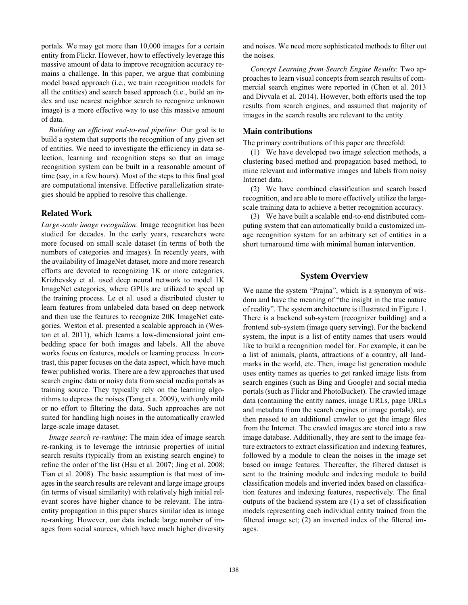portals. We may get more than 10,000 images for a certain entity from Flickr. However, how to effectively leverage this massive amount of data to improve recognition accuracy remains a challenge. In this paper, we argue that combining model based approach (i.e., we train recognition models for all the entities) and search based approach (i.e., build an index and use nearest neighbor search to recognize unknown image) is a more effective way to use this massive amount of data.

*Building an efficient end-to-end pipeline*: Our goal is to build a system that supports the recognition of any given set of entities. We need to investigate the efficiency in data selection, learning and recognition steps so that an image recognition system can be built in a reasonable amount of time (say, in a few hours). Most of the steps to this final goal are computational intensive. Effective parallelization strategies should be applied to resolve this challenge.

## **Related Work**

*Large-scale image recognition*: Image recognition has been studied for decades. In the early years, researchers were more focused on small scale dataset (in terms of both the numbers of categories and images). In recently years, with the availability of ImageNet dataset, more and more research efforts are devoted to recognizing 1K or more categories. Krizhevsky et al. used deep neural network to model 1K ImageNet categories, where GPUs are utilized to speed up the training process. Le et al. used a distributed cluster to learn features from unlabeled data based on deep network and then use the features to recognize 20K ImageNet categories. Weston et al. presented a scalable approach in (Weston et al. 2011), which learns a low-dimensional joint embedding space for both images and labels. All the above works focus on features, models or learning process. In contrast, this paper focuses on the data aspect, which have much fewer published works. There are a few approaches that used search engine data or noisy data from social media portals as training source. They typically rely on the learning algorithms to depress the noises (Tang et a. 2009), with only mild or no effort to filtering the data. Such approaches are not suited for handling high noises in the automatically crawled large-scale image dataset.

*Image search re-ranking*: The main idea of image search re-ranking is to leverage the intrinsic properties of initial search results (typically from an existing search engine) to refine the order of the list (Hsu et al. 2007; Jing et al. 2008; Tian et al. 2008). The basic assumption is that most of images in the search results are relevant and large image groups (in terms of visual similarity) with relatively high initial relevant scores have higher chance to be relevant. The intraentity propagation in this paper shares similar idea as image re-ranking. However, our data include large number of images from social sources, which have much higher diversity and noises. We need more sophisticated methods to filter out the noises.

*Concept Learning from Search Engine Results*: Two approaches to learn visual concepts from search results of commercial search engines were reported in (Chen et al. 2013 and Divvala et al. 2014). However, both efforts used the top results from search engines, and assumed that majority of images in the search results are relevant to the entity.

## **Main contributions**

The primary contributions of this paper are threefold:

(1) We have developed two image selection methods, a clustering based method and propagation based method, to mine relevant and informative images and labels from noisy Internet data.

(2) We have combined classification and search based recognition, and are able to more effectively utilize the largescale training data to achieve a better recognition accuracy.

(3) We have built a scalable end-to-end distributed computing system that can automatically build a customized image recognition system for an arbitrary set of entities in a short turnaround time with minimal human intervention.

# **System Overview**

We name the system "Prajna", which is a synonym of wisdom and have the meaning of "the insight in the true nature of reality". The system architecture is illustrated in Figure 1. There is a backend sub-system (recognizer building) and a frontend sub-system (image query serving). For the backend system, the input is a list of entity names that users would like to build a recognition model for. For example, it can be a list of animals, plants, attractions of a country, all landmarks in the world, etc. Then, image list generation module uses entity names as queries to get ranked image lists from search engines (such as Bing and Google) and social media portals (such as Flickr and PhotoBucket). The crawled image data (containing the entity names, image URLs, page URLs and metadata from the search engines or image portals), are then passed to an additional crawler to get the image files from the Internet. The crawled images are stored into a raw image database. Additionally, they are sent to the image feature extractors to extract classification and indexing features, followed by a module to clean the noises in the image set based on image features. Thereafter, the filtered dataset is sent to the training module and indexing module to build classification models and inverted index based on classification features and indexing features, respectively. The final outputs of the backend system are (1) a set of classification models representing each individual entity trained from the filtered image set; (2) an inverted index of the filtered images.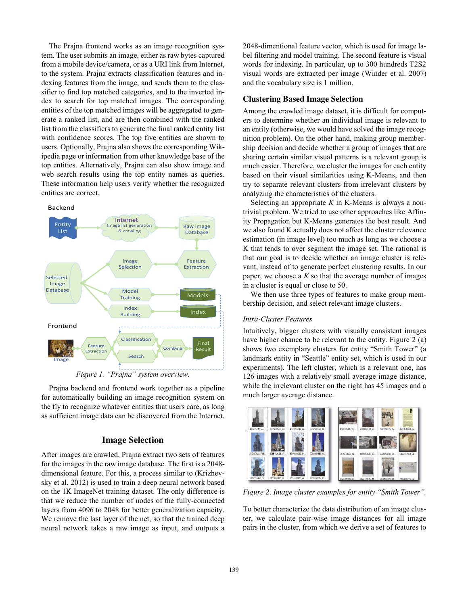The Prajna frontend works as an image recognition system. The user submits an image, either as raw bytes captured from a mobile device/camera, or as a URI link from Internet, to the system. Prajna extracts classification features and indexing features from the image, and sends them to the classifier to find top matched categories, and to the inverted index to search for top matched images. The corresponding entities of the top matched images will be aggregated to generate a ranked list, and are then combined with the ranked list from the classifiers to generate the final ranked entity list with confidence scores. The top five entities are shown to users. Optionally, Prajna also shows the corresponding Wikipedia page or information from other knowledge base of the top entities. Alternatively, Prajna can also show image and web search results using the top entity names as queries. These information help users verify whether the recognized entities are correct.



Prajna backend and frontend work together as a pipeline for automatically building an image recognition system on the fly to recognize whatever entities that users care, as long as sufficient image data can be discovered from the Internet.

# **Image Selection**

After images are crawled, Prajna extract two sets of features for the images in the raw image database. The first is a 2048 dimensional feature. For this, a process similar to (Krizhevsky et al. 2012) is used to train a deep neural network based on the 1K ImageNet training dataset. The only difference is that we reduce the number of nodes of the fully-connected layers from 4096 to 2048 for better generalization capacity. We remove the last layer of the net, so that the trained deep neural network takes a raw image as input, and outputs a

2048-dimentional feature vector, which is used for image label filtering and model training. The second feature is visual words for indexing. In particular, up to 300 hundreds T2S2 visual words are extracted per image (Winder et al. 2007) and the vocabulary size is 1 million.

## **Clustering Based Image Selection**

Among the crawled image dataset, it is difficult for computers to determine whether an individual image is relevant to an entity (otherwise, we would have solved the image recognition problem). On the other hand, making group membership decision and decide whether a group of images that are sharing certain similar visual patterns is a relevant group is much easier. Therefore, we cluster the images for each entity based on their visual similarities using K-Means, and then try to separate relevant clusters from irrelevant clusters by analyzing the characteristics of the clusters.

Selecting an appropriate *K* in K-Means is always a nontrivial problem. We tried to use other approaches like Affinity Propagation but K-Means generates the best result. And we also found K actually does not affect the cluster relevance estimation (in image level) too much as long as we choose a K that tends to over segment the image set. The rational is that our goal is to decide whether an image cluster is relevant, instead of to generate perfect clustering results. In our paper, we choose a *K* so that the average number of images in a cluster is equal or close to 50.

We then use three types of features to make group membership decision, and select relevant image clusters.

## *Intra-Cluster Features*

Intuitively, bigger clusters with visually consistent images have higher chance to be relevant to the entity. Figure 2 (a) shows two exemplary clusters for entity "Smith Tower" (a landmark entity in "Seattle" entity set, which is used in our experiments). The left cluster, which is a relevant one, has 126 images with a relatively small average image distance, while the irrelevant cluster on the right has 45 images and a much larger average distance.



*Figure 2. Image cluster examples for entity "Smith Tower".*

To better characterize the data distribution of an image cluster, we calculate pair-wise image distances for all image pairs in the cluster, from which we derive a set of features to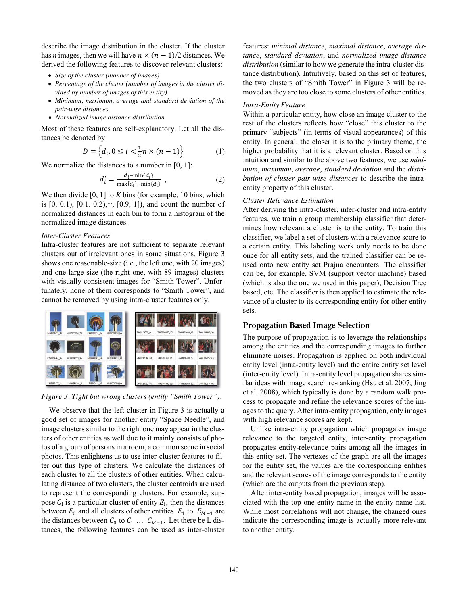describe the image distribution in the cluster. If the cluster has *n* images, then we will have  $n \times (n - 1)/2$  distances. We derived the following features to discover relevant clusters:

- *Size of the cluster (number of images)*
- *Percentage of the cluster (number of images in the cluster divided by number of images of this entity)*
- *Minimum, maximum, average and standard deviation of the pair-wise distances.*
- *Normalized image distance distribution*

Most of these features are self-explanatory. Let all the distances be denoted by

$$
D = \left\{ d_i, 0 \le i < \frac{1}{2} n \times (n - 1) \right\} \tag{1}
$$

We normalize the distances to a number in [0, 1]:

$$
d'_{i} = \frac{d_i - \min\{d_i\}}{\max\{d_i\} - \min\{d_i\}},
$$
\n(2)

We then divide [0, 1] to *K* bins (for example, 10 bins, which is  $[0, 0.1), [0.1, 0.2), \dots, [0.9, 1]$ , and count the number of normalized distances in each bin to form a histogram of the normalized image distances.

#### *Inter-Cluster Features*

Intra-cluster features are not sufficient to separate relevant clusters out of irrelevant ones in some situations. Figure 3 shows one reasonable-size (i.e., the left one, with 20 images) and one large-size (the right one, with 89 images) clusters with visually consistent images for "Smith Tower". Unfortunately, none of them corresponds to "Smith Tower", and cannot be removed by using intra-cluster features only.



*Figure 3. Tight but wrong clusters (entity "Smith Tower").* 

We observe that the left cluster in Figure 3 is actually a good set of images for another entity "Space Needle", and image clusters similar to the right one may appear in the clusters of other entities as well due to it mainly consists of photos of a group of persons in a room, a common scene in social photos. This enlightens us to use inter-cluster features to filter out this type of clusters. We calculate the distances of each cluster to all the clusters of other entities. When calculating distance of two clusters, the cluster centroids are used to represent the corresponding clusters. For example, suppose  $C_i$  is a particular cluster of entity  $E_i$ , then the distances between  $E_0$  and all clusters of other entities  $E_1$  to  $E_{M-1}$  are the distances between  $C_0$  to  $C_1$  ...  $C_{M-1}$ . Let there be L distances, the following features can be used as inter-cluster

features: *minimal distance*, *maximal distance*, *average distance*, *standard deviation*, and *normalized image distance distribution* (similar to how we generate the intra-cluster distance distribution). Intuitively, based on this set of features, the two clusters of "Smith Tower" in Figure 3 will be removed as they are too close to some clusters of other entities.

## *Intra-Entity Feature*

Within a particular entity, how close an image cluster to the rest of the clusters reflects how "close" this cluster to the primary "subjects" (in terms of visual appearances) of this entity. In general, the closer it is to the primary theme, the higher probability that it is a relevant cluster. Based on this intuition and similar to the above two features, we use *minimum*, *maximum*, *average*, *standard deviation* and the *distribution of cluster pair-wise distances* to describe the intraentity property of this cluster.

## *Cluster Relevance Estimation*

After deriving the intra-cluster, inter-cluster and intra-entity features, we train a group membership classifier that determines how relevant a cluster is to the entity. To train this classifier, we label a set of clusters with a relevance score to a certain entity. This labeling work only needs to be done once for all entity sets, and the trained classifier can be reused onto new entity set Prajna encounters. The classifier can be, for example, SVM (support vector machine) based (which is also the one we used in this paper), Decision Tree based, etc. The classifier is then applied to estimate the relevance of a cluster to its corresponding entity for other entity sets.

### **Propagation Based Image Selection**

The purpose of propagation is to leverage the relationships among the entities and the corresponding images to further eliminate noises. Propagation is applied on both individual entity level (intra-entity level) and the entire entity set level (inter-entity level). Intra-entity level propagation shares similar ideas with image search re-ranking (Hsu et al. 2007; Jing et al. 2008), which typically is done by a random walk process to propagate and refine the relevance scores of the images to the query. After intra-entity propagation, only images with high relevance scores are kept.

Unlike intra-entity propagation which propagates image relevance to the targeted entity, inter-entity propagation propagates entity-relevance pairs among all the images in this entity set. The vertexes of the graph are all the images for the entity set, the values are the corresponding entities and the relevant scores of the image corresponds to the entity (which are the outputs from the previous step).

After inter-entity based propagation, images will be associated with the top one entity name in the entity name list. While most correlations will not change, the changed ones indicate the corresponding image is actually more relevant to another entity.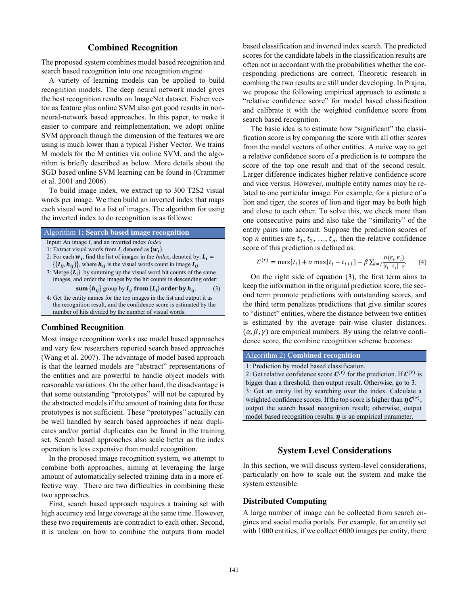## **Combined Recognition**

The proposed system combines model based recognition and search based recognition into one recognition engine.

A variety of learning models can be applied to build recognition models. The deep neural network model gives the best recognition results on ImageNet dataset. Fisher vector as feature plus online SVM also got good results in nonneural-network based approaches. In this paper, to make it easier to compare and reimplementation, we adopt online SVM approach though the dimension of the features we are using is much lower than a typical Fisher Vector. We trains M models for the M entities via online SVM, and the algorithm is briefly described as below. More details about the SGD based online SVM learning can be found in (Crammer et al. 2001 and 2006).

To build image index, we extract up to 300 T2S2 visual words per image. We then build an inverted index that maps each visual word to a list of images. The algorithm for using the inverted index to do recognition is as follows:

| <b>Algorithm 1: Search based image recognition</b>             |  |
|----------------------------------------------------------------|--|
| Input: An image <i>I</i> , and an inverted index <i>Index</i>  |  |
| 1: Extract visual words from <i>I</i> , denoted as $\{w_i\}$ . |  |
|                                                                |  |

- 2: For each  $w_i$ , find the list of images in the *Index*, denoted by:  $L_i =$  $\{(\mathbf{I}_{ij}, \mathbf{h}_{ij})\}\$ , where  $\mathbf{h}_{ij}$  is the visual words count in image  $\mathbf{I}_{ij}$ .
- 3: Merge  $\{L_i\}$  by summing up the visual word hit counts of the same images, and order the images by the hit counts in descending order:
	- **sum**  $\{h_{ij}\}$  group by  $I_{ij}$  from  $\{L_i\}$  order by  $h_{ij}$ . (3)

4: Get the entity names for the top images in the list and output it as the recognition result, and the confidence score is estimated by the number of hits divided by the number of visual words.

# **Combined Recognition**

Most image recognition works use model based approaches and very few researchers reported search based approaches (Wang et al. 2007). The advantage of model based approach is that the learned models are "abstract" representations of the entities and are powerful to handle object models with reasonable variations. On the other hand, the disadvantage is that some outstanding "prototypes" will not be captured by the abstracted models if the amount of training data for these prototypes is not sufficient. These "prototypes" actually can be well handled by search based approaches if near duplicates and/or partial duplicates can be found in the training set. Search based approaches also scale better as the index operation is less expensive than model recognition.

In the proposed image recognition system, we attempt to combine both approaches, aiming at leveraging the large amount of automatically selected training data in a more effective way. There are two difficulties in combining these two approaches.

First, search based approach requires a training set with high accuracy and large coverage at the same time. However, these two requirements are contradict to each other. Second, it is unclear on how to combine the outputs from model based classification and inverted index search. The predicted scores for the candidate labels in the classification results are often not in accordant with the probabilities whether the corresponding predictions are correct. Theoretic research in combing the two results are still under developing. In Prajna, we propose the following empirical approach to estimate a "relative confidence score" for model based classification and calibrate it with the weighted confidence score from search based recognition.

The basic idea is to estimate how "significant" the classification score is by comparing the score with all other scores from the model vectors of other entities. A naive way to get a relative confidence score of a prediction is to compare the score of the top one result and that of the second result. Larger difference indicates higher relative confidence score and vice versus. However, multiple entity names may be related to one particular image. For example, for a picture of a lion and tiger, the scores of lion and tiger may be both high and close to each other. To solve this, we check more than one consecutive pairs and also take the "similarity" of the entity pairs into account. Suppose the prediction scores of top *n* entities are  $t_1, t_2, ..., t_n$ , then the relative confidence score of this prediction is defined as:

$$
C^{(r)} = \max\{t_i\} + \alpha \max\{t_i - t_{i+1}\} - \beta \sum_{i \neq j} \frac{D(E_i, E_j)}{|t_i - t_j| + \gamma}.
$$
 (4)

On the right side of equation (3), the first term aims to keep the information in the original prediction score, the second term promote predictions with outstanding scores, and the third term penalizes predictions that give similar scores to "distinct" entities, where the distance between two entities is estimated by the average pair-wise cluster distances.  $(\alpha, \beta, \gamma)$  are empirical numbers. By using the relative confidence score, the combine recognition scheme becomes:

#### Algorithm 2**: Combined recognition**

1: Prediction by model based classification. 2: Get relative confidence score  $C^{(r)}$  for the prediction. If  $C^{(r)}$  is bigger than a threshold, then output result. Otherwise, go to 3. 3: Get an entity list by searching over the index. Calculate a weighted confidence scores. If the top score is higher than  $\eta C^{(r)}$ , output the search based recognition result; otherwise, output model based recognition results.  $\eta$  is an empirical parameter.

## **System Level Considerations**

In this section, we will discuss system-level considerations, particularly on how to scale out the system and make the system extensible.

#### **Distributed Computing**

A large number of image can be collected from search engines and social media portals. For example, for an entity set with 1000 entities, if we collect 6000 images per entity, there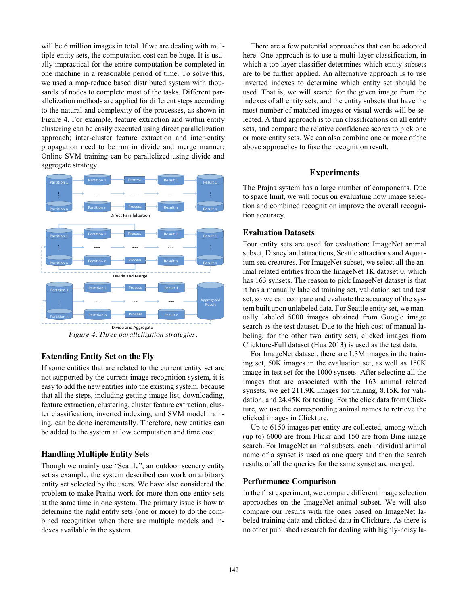will be 6 million images in total. If we are dealing with multiple entity sets, the computation cost can be huge. It is usually impractical for the entire computation be completed in one machine in a reasonable period of time. To solve this, we used a map-reduce based distributed system with thousands of nodes to complete most of the tasks. Different parallelization methods are applied for different steps according to the natural and complexity of the processes, as shown in Figure 4. For example, feature extraction and within entity clustering can be easily executed using direct parallelization approach; inter-cluster feature extraction and inter-entity propagation need to be run in divide and merge manner; Online SVM training can be parallelized using divide and aggregate strategy.



*Figure 4. Three parallelization strategies.* 

# **Extending Entity Set on the Fly**

If some entities that are related to the current entity set are not supported by the current image recognition system, it is easy to add the new entities into the existing system, because that all the steps, including getting image list, downloading, feature extraction, clustering, cluster feature extraction, cluster classification, inverted indexing, and SVM model training, can be done incrementally. Therefore, new entities can be added to the system at low computation and time cost.

## **Handling Multiple Entity Sets**

Though we mainly use "Seattle", an outdoor scenery entity set as example, the system described can work on arbitrary entity set selected by the users. We have also considered the problem to make Prajna work for more than one entity sets at the same time in one system. The primary issue is how to determine the right entity sets (one or more) to do the combined recognition when there are multiple models and indexes available in the system.

There are a few potential approaches that can be adopted here. One approach is to use a multi-layer classification, in which a top layer classifier determines which entity subsets are to be further applied. An alternative approach is to use inverted indexes to determine which entity set should be used. That is, we will search for the given image from the indexes of all entity sets, and the entity subsets that have the most number of matched images or visual words will be selected. A third approach is to run classifications on all entity sets, and compare the relative confidence scores to pick one or more entity sets. We can also combine one or more of the above approaches to fuse the recognition result.

# **Experiments**

The Prajna system has a large number of components. Due to space limit, we will focus on evaluating how image selection and combined recognition improve the overall recognition accuracy.

## **Evaluation Datasets**

Four entity sets are used for evaluation: ImageNet animal subset, Disneyland attractions, Seattle attractions and Aquarium sea creatures. For ImageNet subset, we select all the animal related entities from the ImageNet 1K dataset 0, which has 163 synsets. The reason to pick ImageNet dataset is that it has a manually labeled training set, validation set and test set, so we can compare and evaluate the accuracy of the system built upon unlabeled data. For Seattle entity set, we manually labeled 5000 images obtained from Google image search as the test dataset. Due to the high cost of manual labeling, for the other two entity sets, clicked images from Clickture-Full dataset (Hua 2013) is used as the test data.

For ImageNet dataset, there are 1.3M images in the training set, 50K images in the evaluation set, as well as 150K image in test set for the 1000 synsets. After selecting all the images that are associated with the 163 animal related synsets, we get 211.9K images for training, 8.15K for validation, and 24.45K for testing. For the click data from Clickture, we use the corresponding animal names to retrieve the clicked images in Clickture.

Up to 6150 images per entity are collected, among which (up to) 6000 are from Flickr and 150 are from Bing image search. For ImageNet animal subsets, each individual animal name of a synset is used as one query and then the search results of all the queries for the same synset are merged.

## **Performance Comparison**

In the first experiment, we compare different image selection approaches on the ImageNet animal subset. We will also compare our results with the ones based on ImageNet labeled training data and clicked data in Clickture. As there is no other published research for dealing with highly-noisy la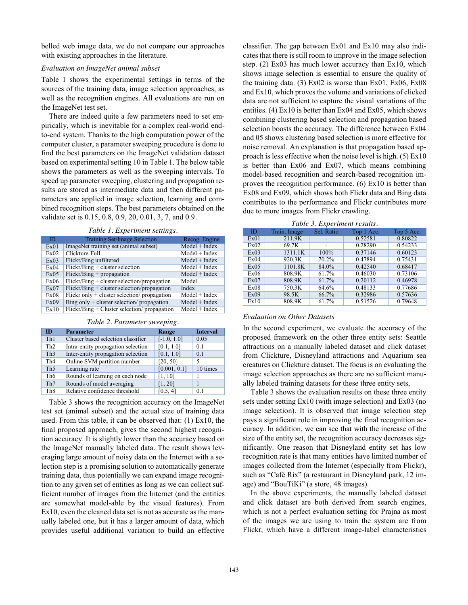belled web image data, we do not compare our approaches with existing approaches in the literature.

### *Evaluation on ImageNet animal subset*

Table 1 shows the experimental settings in terms of the sources of the training data, image selection approaches, as well as the recognition engines. All evaluations are run on the ImageNet test set.

There are indeed quite a few parameters need to set empirically, which is inevitable for a complex real-world endto-end system. Thanks to the high computation power of the computer cluster, a parameter sweeping procedure is done to find the best parameters on the ImageNet validation dataset based on experimental setting 10 in Table 1. The below table shows the parameters as well as the sweeping intervals. To speed up parameter sweeping, clustering and propagation results are stored as intermediate data and then different parameters are applied in image selection, learning and combined recognition steps. The best parameters obtained on the validate set is 0.15, 0.8, 0.9, 20, 0.01, 3, 7, and 0.9.

|  | Table 1. Experiment settings. |  |
|--|-------------------------------|--|
|  |                               |  |

| ID   | Training Set/Image Selection                   | Recog. Engine   |
|------|------------------------------------------------|-----------------|
| Ex01 | ImageNet training set (animal subset)          | $Model + Index$ |
| Ex02 | Clickture-Full                                 | $Model + Index$ |
| Ex03 | Flickr/Bing unfiltered                         | $Model + Index$ |
| Ex04 | $Flickr/Bing + cluster selection$              | $Model + Index$ |
| Ex05 | $Flickr/Bing + propagation$                    | $Model + Index$ |
| Ex06 | $Flickr/Bing + cluster selection/propagation$  | Model           |
| Ex07 | $Flickr/Bing + cluster selection/propagation$  | Index           |
| Ex08 | Flickr only $+$ cluster selection/ propagation | $Model + Index$ |
| Ex09 | Bing only $+$ cluster selection/ propagation   | $Model + Index$ |
| Ex10 | $Flickr/Bing + Cluster selection/propagation$  | $Model + Index$ |

| m               | <b>Parameter</b>                   | Range         | <b>Interval</b> |
|-----------------|------------------------------------|---------------|-----------------|
| Th1             | Cluster based selection classifier | $[-1.0, 1.0]$ | 0.05            |
| Th <sub>2</sub> | Intra-entity propagation selection | [0.1, 1.0]    | 0.1             |
| Th <sub>3</sub> | Inter-entity propagation selection | [0.1, 1.0]    | 0.1             |
| Th <sub>4</sub> | Online SVM partition number        | [20, 50]      | 5               |
| Th <sub>5</sub> | Learning rate                      | [0.001, 0.1]  | 10 times        |
| Th6             | Rounds of learning on each node    | [1, 10]       |                 |
| Th <sub>7</sub> | Rounds of model averaging          | [1, 20]       |                 |
| Th <sub>8</sub> | Relative confidence threshold      | [0.5, 4]      | 0 <sub>1</sub>  |

Table 3 shows the recognition accuracy on the ImageNet test set (animal subset) and the actual size of training data used. From this table, it can be observed that: (1) Ex10, the final proposed approach, gives the second highest recognition accuracy. It is slightly lower than the accuracy based on the ImageNet manually labeled data. The result shows leveraging large amount of noisy data on the Internet with a selection step is a promising solution to automatically generate training data, thus potentially we can expand image recognition to any given set of entities as long as we can collect sufficient number of images from the Internet (and the entities are somewhat model-able by the visual features). From Ex10, even the cleaned data set is not as accurate as the manually labeled one, but it has a larger amount of data, which provides useful additional variation to build an effective

classifier. The gap between Ex01 and Ex10 may also indicates that there is still room to improve in the image selection step. (2) Ex03 has much lower accuracy than Ex10, which shows image selection is essential to ensure the quality of the training data. (3) Ex02 is worse than Ex01, Ex06, Ex08 and Ex10, which proves the volume and variations of clicked data are not sufficient to capture the visual variations of the entities. (4) Ex10 is better than Ex04 and Ex05, which shows combining clustering based selection and propagation based selection boosts the accuracy. The difference between Ex04 and 05 shows clustering based selection is more effective for noise removal. An explanation is that propagation based approach is less effective when the noise level is high. (5) Ex10 is better than Ex06 and Ex07, which means combining model-based recognition and search-based recognition improves the recognition performance. (6) Ex10 is better than Ex08 and Ex09, which shows both Flickr data and Bing data contributes to the performance and Flickr contributes more due to more images from Flickr crawling.

|  |  | Table 3. Experiment results. |
|--|--|------------------------------|
|  |  |                              |

| ID   | Train. Image        | Sel. Ratio | Top 1 Acc. | Top 5 Acc. |
|------|---------------------|------------|------------|------------|
| Ex01 | 211.9K              |            | 0.52581    | 0.80822    |
| Ex02 | 69.7K               |            | 0.28290    | 0.54233    |
| Ex03 | 1311.1K             | 100%       | 0.37146    | 0.60123    |
| Ex04 | $920.\overline{3K}$ | $70.2\%$   | 0.47894    | 0.75431    |
| Ex05 | 1101.8K             | 84.0%      | 0.42540    | 0.68417    |
| Ex06 | 808.9K              | 61.7%      | 0.46030    | 0.73106    |
| Ex07 | 808.9K              | 61.7%      | 0.20112    | 0.46978    |
| Ex08 | 750.3K              | 64.6%      | 0.48133    | 0.77686    |
| Ex09 | 98.5K               | 66.7%      | 0.32986    | 0.57636    |
| Ex10 | 808.9K              | 61.7%      | 0.51526    | 0.79648    |

#### *Evaluation on Other Datasets*

In the second experiment, we evaluate the accuracy of the proposed framework on the other three entity sets: Seattle attractions on a manually labeled dataset and click dataset from Clickture, Disneyland attractions and Aquarium sea creatures on Clickture dataset. The focus is on evaluating the image selection approaches as there are no sufficient manually labeled training datasets for these three entity sets,

Table 3 shows the evaluation results on these three entity sets under setting Ex10 (with image selection) and Ex03 (no image selection). It is observed that image selection step pays a significant role in improving the final recognition accuracy. In addition, we can see that with the increase of the size of the entity set, the recognition accuracy decreases significantly. One reason that Disneyland entity set has low recognition rate is that many entities have limited number of images collected from the Internet (especially from Flickr), such as "Café Rix" (a restaurant in Disneyland park, 12 image) and "BouTiKi" (a store, 48 images).

In the above experiments, the manually labeled dataset and click dataset are both derived from search engines, which is not a perfect evaluation setting for Prajna as most of the images we are using to train the system are from Flickr, which have a different image-label characteristics